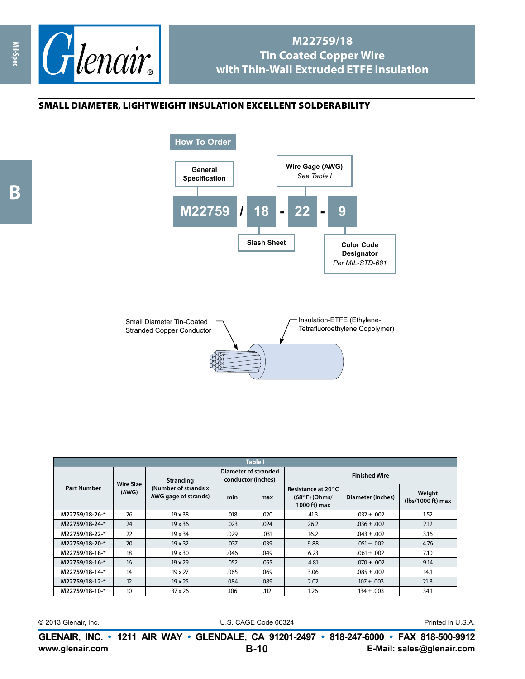

## **M22759/18 Tin Coated Copper Wire with Thin-Wall Extruded ETFE Insulation**

## small diameter, lightweight insulation excellent solderability





| <b>Table I</b>     |                           |                                                                  |                                            |      |                                                        |                   |                             |  |  |  |
|--------------------|---------------------------|------------------------------------------------------------------|--------------------------------------------|------|--------------------------------------------------------|-------------------|-----------------------------|--|--|--|
| <b>Part Number</b> | <b>Wire Size</b><br>(AWG) | <b>Stranding</b><br>(Number of strands x<br>AWG gage of strands) | Diameter of stranded<br>conductor (inches) |      | <b>Finished Wire</b>                                   |                   |                             |  |  |  |
|                    |                           |                                                                  | min                                        | max  | Resistance at 20°C<br>$(68° F)$ (Ohms/<br>1000 ft) max | Diameter (inches) | Weight<br>(lbs/1000 ft) max |  |  |  |
| M22759/18-26-*     | 26                        | $19 \times 38$                                                   | .018                                       | .020 | 41.3                                                   | $.032 \pm .002$   | 1.52                        |  |  |  |
| M22759/18-24-*     | 24                        | $19 \times 36$                                                   | .023                                       | .024 | 26.2                                                   | $.036 \pm .002$   | 2.12                        |  |  |  |
| M22759/18-22-*     | 22                        | 19 x 34                                                          | .029                                       | .031 | 16.2                                                   | $.043 \pm .002$   | 3.16                        |  |  |  |
| M22759/18-20-*     | 20                        | $19 \times 32$                                                   | .037                                       | .039 | 9.88                                                   | $.051 \pm .002$   | 4.76                        |  |  |  |
| M22759/18-18-*     | 18                        | $19 \times 30$                                                   | .046                                       | .049 | 6.23                                                   | $.061 \pm .002$   | 7.10                        |  |  |  |
| M22759/18-16-*     | 16                        | $19 \times 29$                                                   | .052                                       | .055 | 4.81                                                   | $.070 \pm .002$   | 9.14                        |  |  |  |
| M22759/18-14-*     | 14                        | $19 \times 27$                                                   | .065                                       | .069 | 3.06                                                   | $.085 \pm .002$   | 14.1                        |  |  |  |
| M22759/18-12-*     | 12                        | $19 \times 25$                                                   | .084                                       | .089 | 2.02                                                   | $.107 \pm .003$   | 21.8                        |  |  |  |
| M22759/18-10-*     | 10                        | 37 x 26                                                          | .106                                       | .112 | 1.26                                                   | $.134 \pm .003$   | 34.1                        |  |  |  |

|  | © 2013 Glenair, Inc. |  |
|--|----------------------|--|
|--|----------------------|--|

U.S. CAGE Code 06324 Printed in U.S.A.

**www.glenair.com E-Mail: sales@glenair.com GLENAIR, INC. • 1211 AIR WAY • GLENDALE, CA 91201-2497 • 818-247-6000 • FAX 818-500-9912 B-10**

**Mil-Spec**